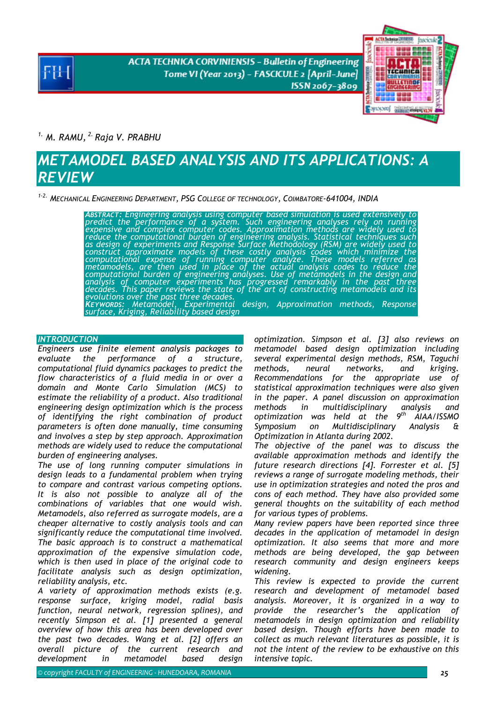**ACTA TECHNICA CORVINIENSIS - Bulletin of Engineering** Tome VI (Year 2013) - FASCICULE 2 [April-June] ISSN 2067-3809



*1. M. RAMU, 2. Raja V. PRABHU* 

# *METAMODEL BASED ANALYSIS AND ITS APPLICATIONS: A REVIEW*

*1-2. MECHANICAL ENGINEERING DEPARTMENT, PSG COLLEGE OF TECHNOLOGY, COIMBATORE-641004, INDIA* 

*ABSTRACT: Engineering analysis using computer based simulation is used extensively to predict the performance of a system. Such engineering analyses rely on running expensive and complex computer codes. Approximation methods are widely used to reduce the computational burden of engineering analysis. Statistical techniques such as design of experiments and Response Surface Methodology (RSM) are widely used to construct approximate models of these costly analysis codes which minimize the computational expense of running computer analyze. These models referred as metamodels, are then used in place of the actual analysis codes to reduce the*  computational burden of engineering analyses. Use of metamodels in the design and<br>analysis of computer experiments has progressed remarkably in the past three *decades. This paper reviews the state of the art of constructing metamodels and its*<br>evolutions over the past three decades. *KEYWORDS: Metamodel, Experimental design, Approximation methods, Response surface, Kriging, Reliability based design* 

## **INTRODUCTION**

*Engineers use finite element analysis packages to evaluate the performance of a structure, computational fluid dynamics packages to predict the flow characteristics of a fluid media in or over a domain and Monte Carlo Simulation (MCS) to estimate the reliability of a product. Also traditional engineering design optimization which is the process of identifying the right combination of product parameters is often done manually, time consuming and involves a step by step approach. Approximation methods are widely used to reduce the computational burden of engineering analyses.* 

*The use of long running computer simulations in design leads to a fundamental problem when trying to compare and contrast various competing options. It is also not possible to analyze all of the combinations of variables that one would wish. Metamodels, also referred as surrogate models, are a cheaper alternative to costly analysis tools and can significantly reduce the computational time involved. The basic approach is to construct a mathematical approximation of the expensive simulation code, which is then used in place of the original code to facilitate analysis such as design optimization, reliability analysis, etc.* 

*A variety of approximation methods exists (e.g. response surface, kriging model, radial basis function, neural network, regression splines), and recently Simpson et al. [1] presented a general overview of how this area has been developed over the past two decades. Wang et al. [2] offers an overall picture of the current research and development in metamodel based design* 

*optimization. Simpson et al. [3] also reviews on metamodel based design optimization including several experimental design methods, RSM, Taguchi methods, neural networks, and kriging. Recommendations for the appropriate use of statistical approximation techniques were also given in the paper. A panel discussion on approximation methods in multidisciplinary analysis and optimization was held at the 9th AIAA/ISSMO Symposium on Multidisciplinary Analysis & Optimization in Atlanta during 2002.* 

*The objective of the panel was to discuss the available approximation methods and identify the future research directions [4]. Forrester et al. [5] reviews a range of surrogate modeling methods, their use in optimization strategies and noted the pros and cons of each method. They have also provided some general thoughts on the suitability of each method for various types of problems.* 

*Many review papers have been reported since three decades in the application of metamodel in design optimization. It also seems that more and more methods are being developed, the gap between research community and design engineers keeps widening.* 

*This review is expected to provide the current research and development of metamodel based analysis. Moreover, it is organized in a way to provide the researcher's the application of metamodels in design optimization and reliability based design. Though efforts have been made to collect as much relevant literatures as possible, it is not the intent of the review to be exhaustive on this intensive topic.*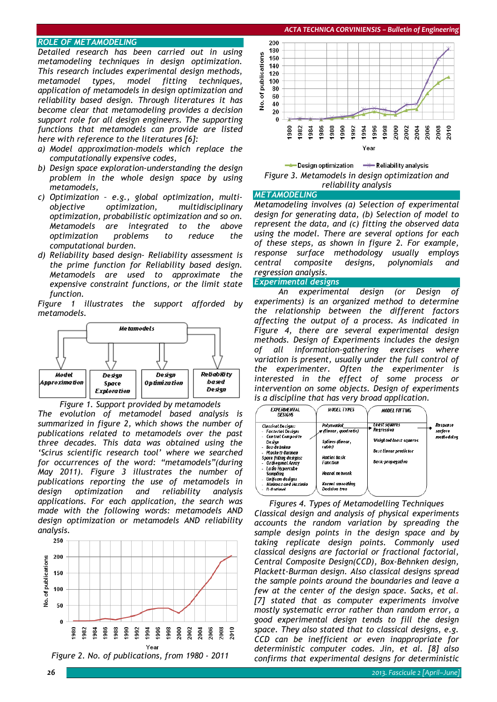## *ROLE OF METAMODELING*

*Detailed research has been carried out in using metamodeling techniques in design optimization. This research includes experimental design methods, metamodel types, model fitting techniques, application of metamodels in design optimization and reliability based design. Through literatures it has become clear that metamodeling provides a decision support role for all design engineers. The supporting functions that metamodels can provide are listed here with reference to the literatures [6]:* 

- *a) Model approximation-models which replace the computationally expensive codes,*
- *b) Design space exploration-understanding the design problem in the whole design space by using metamodels,*
- *c) Optimization e.g., global optimization, multiobjective optimization, multidisciplinary optimization, probabilistic optimization and so on. Metamodels are integrated to the above optimization problems to reduce the computational burden.*
- *d) Reliability based design- Reliability assessment is the prime function for Reliability based design. Metamodels are used to approximate the expensive constraint functions, or the limit state function.*

*Figure 1 illustrates the support afforded by metamodels.* 



*Figure 1. Support provided by metamodels* 

*The evolution of metamodel based analysis is summarized in figure 2, which shows the number of publications related to metamodels over the past three decades. This data was obtained using the 'Scirus scientific research tool' where we searched for occurrences of the word: "metamodels"(during May 2011). Figure 3 illustrates the number of publications reporting the use of metamodels in design optimization and reliability analysis applications. For each application, the search was made with the following words: metamodels AND design optimization or metamodels AND reliability analysis.* 







## **METAMODELING**

*Metamodeling involves (a) Selection of experimental design for generating data, (b) Selection of model to represent the data, and (c) fitting the observed data using the model. There are several options for each of these steps, as shown in figure 2. For example, response surface methodology usually employs central composite designs, polynomials and regression analysis.* 

#### *Experimental designs*

*An experimental design (or Design of experiments) is an organized method to determine the relationship between the different factors affecting the output of a process. As indicated in Figure 4, there are several experimental design methods. Design of Experiments includes the design of all information-gathering exercises where variation is present, usually under the full control of the experimenter. Often the experimenter is interested in the effect of some process or intervention on some objects. Design of experiments is a discipline that has very broad application.* 

| <b>EXPERIMENTAL</b><br>DESIGNS                                       | <b>MODEL TYPES</b>                       | <b>MODEL FITTING</b>                            |            |
|----------------------------------------------------------------------|------------------------------------------|-------------------------------------------------|------------|
| Classical Designs:                                                   | Polynomial                               | Least squares                                   | Response   |
| - Factorial Designs                                                  | x (linear, quadratic)                    | Regression                                      | surface    |
| - Central Composite<br>Desian<br>- Rox-Rebuken<br>- Placke tt-Burman | <b>Splines (tinear,</b><br>(abic)        | Weighted least squares<br>Best linear predictor | methodolog |
| <b>Space filting designs:</b><br>- Orthogonal Array                  | <b>Radial Basic</b><br>Fanction          | Back-propagation                                |            |
| - Latin Hypercube<br>Sampling<br>- Uniform designs                   | Neural network                           |                                                 |            |
| Minimax and Maximin<br>- D-Ontimal                                   | Kernel smoothing<br><b>Decision tree</b> |                                                 |            |

*Figures 4. Types of Metamodelling Techniques Classical design and analysis of physical experiments accounts the random variation by spreading the sample design points in the design space and by taking replicate design points. Commonly used classical designs are factorial or fractional factorial, Central Composite Design(CCD), Box-Behnken design, Plackett-Burman design. Also classical designs spread the sample points around the boundaries and leave a few at the center of the design space. Sacks, et al. [7] stated that as computer experiments involve mostly systematic error rather than random error, a good experimental design tends to fill the design space. They also stated that to classical designs, e.g. CCD can be inefficient or even inappropriate for deterministic computer codes. Jin, et al. [8] also confirms that experimental designs for deterministic*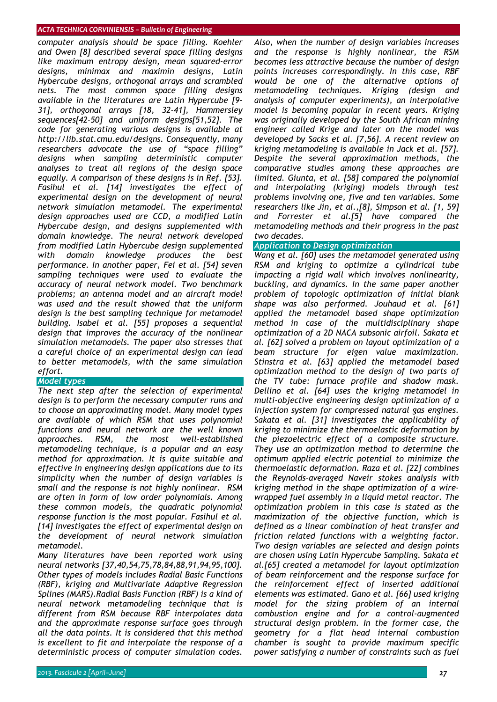*computer analysis should be space filling. Koehler and Owen [8] described several space filling designs like maximum entropy design, mean squared-error designs, minimax and maximin designs, Latin Hybercube designs, orthogonal arrays and scrambled nets. The most common space filling designs available in the literatures are Latin Hypercube [9- 31], orthogonal arrays [18, 32-41], Hammersley sequences[42-50] and uniform designs[51,52]. The code for generating various designs is available at http://lib.stat.cmu.edu/designs. Consequently, many researchers advocate the use of "space filling" designs when sampling deterministic computer analyses to treat all regions of the design space equally. A comparison of these designs is in Ref. [53]. Fasihul et al. [14] investigates the effect of experimental design on the development of neural network simulation metamodel. The experimental design approaches used are CCD, a modified Latin Hybercube design, and designs supplemented with domain knowledge. The neural network developed from modified Latin Hybercube design supplemented with domain knowledge produces the best performance. In another paper, Fei et al. [54] seven sampling techniques were used to evaluate the accuracy of neural network model. Two benchmark problems; an antenna model and an aircraft model was used and the result showed that the uniform design is the best sampling technique for metamodel building. Isabel et al. [55] proposes a sequential design that improves the accuracy of the nonlinear simulation metamodels. The paper also stresses that a careful choice of an experimental design can lead to better metamodels, with the same simulation effort.* 

## *Model types*

*The next step after the selection of experimental design is to perform the necessary computer runs and to choose an approximating model. Many model types are available of which RSM that uses polynomial functions and neural network are the well known approaches. RSM, the most well-established metamodeling technique, is a popular and an easy method for approximation. It is quite suitable and effective in engineering design applications due to its simplicity when the number of design variables is small and the response is not highly nonlinear. RSM are often in form of low order polynomials. Among these common models, the quadratic polynomial response function is the most popular. Fasihul et al. [14] investigates the effect of experimental design on the development of neural network simulation metamodel.* 

*Many literatures have been reported work using neural networks [37,40,54,75,78,84,88,91,94,95,100]. Other types of models includes Radial Basic Functions (RBF), kriging and Multivariate Adaptive Regression Splines (MARS).Radial Basis Function (RBF) is a kind of neural network metamodeling technique that is different from RSM because RBF interpolates data and the approximate response surface goes through all the data points. It is considered that this method is excellent to fit and interpolate the response of a deterministic process of computer simulation codes.* 

*Also, when the number of design variables increases and the response is highly nonlinear, the RSM becomes less attractive because the number of design points increases correspondingly. In this case, RBF would be one of the alternative options of metamodeling techniques. Kriging (design and analysis of computer experiments), an interpolative model is becoming popular in recent years. Kriging was originally developed by the South African mining engineer called Krige and later on the model was developed by Sacks et al. [7,56]. A recent review on kriging metamodeling is available in Jack et al. [57]. Despite the several approximation methods, the comparative studies among these approaches are limited. Giunta, et al. [58] compared the polynomial and interpolating (kriging) models through test problems involving one, five and ten variables. Some researchers like Jin, et al.,[8], Simpson et al. [1, 59] and Forrester et al.[5] have compared the metamodeling methods and their progress in the past two decades.* 

## *Application to Design optimization*

*Wang et al. [60] uses the metamodel generated using RSM and kriging to optimize a cylindrical tube impacting a rigid wall which involves nonlinearity, buckling, and dynamics. In the same paper another problem of topologic optimization of initial blank shape was also performed. Jouhaud et al. [61] applied the metamodel based shape optimization method in case of the multidisciplinary shape optimization of a 2D NACA subsonic airfoil. Sakata et al. [62] solved a problem on layout optimization of a beam structure for eigen value maximization. Stinstra et al. [63] applied the metamodel based optimization method to the design of two parts of the TV tube: furnace profile and shadow mask. Dellino et al. [64] uses the kriging metamodel in multi-objective engineering design optimization of a injection system for compressed natural gas engines. Sakata et al. [31] investigates the applicability of kriging to minimize the thermoelastic deformation by the piezoelectric effect of a composite structure. They use an optimization method to determine the optimum applied electric potential to minimize the thermoelastic deformation. Raza et al. [22] combines the Reynolds-averaged Naveir stokes analysis with kriging method in the shape optimization of a wirewrapped fuel assembly in a liquid metal reactor. The optimization problem in this case is stated as the maximization of the objective function, which is defined as a linear combination of heat transfer and friction related functions with a weighting factor. Two design variables are selected and design points are chosen using Latin Hypercube Sampling. Sakata et al.[65] created a metamodel for layout optimization of beam reinforcement and the response surface for the reinforcement effect of inserted additional elements was estimated. Gano et al. [66] used kriging model for the sizing problem of an internal combustion engine and for a control-augmented structural design problem. In the former case, the geometry for a flat head internal combustion chamber is sought to provide maximum specific power satisfying a number of constraints such as fuel*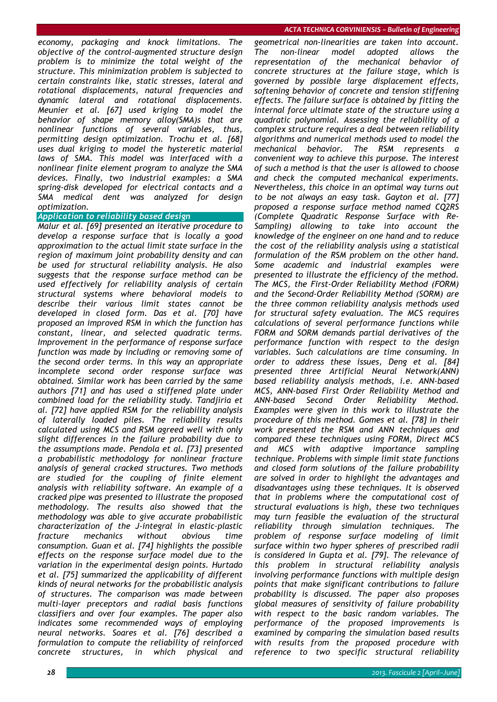*economy, packaging and knock limitations. The objective of the control-augmented structure design problem is to minimize the total weight of the structure. This minimization problem is subjected to certain constraints like, static stresses, lateral and rotational displacements, natural frequencies and dynamic lateral and rotational displacements. Meunier et al. [67] used kriging to model the behavior of shape memory alloy(SMA)s that are nonlinear functions of several variables, thus, permitting design optimization. Trochu et al. [68] uses dual kriging to model the hysteretic material laws of SMA. This model was interfaced with a nonlinear finite element program to analyze the SMA devices. Finally, two industrial examples: a SMA spring-disk developed for electrical contacts and a SMA medical dent was analyzed for design optimization.* 

## *Application to reliability based design*

*Malur et al. [69] presented an iterative procedure to develop a response surface that is locally a good approximation to the actual limit state surface in the region of maximum joint probability density and can be used for structural reliability analysis. He also suggests that the response surface method can be used effectively for reliability analysis of certain structural systems where behavioral models to describe their various limit states cannot be developed in closed form. Das et al. [70] have proposed an improved RSM in which the function has constant, linear, and selected quadratic terms. Improvement in the performance of response surface function was made by including or removing some of the second order terms. In this way an appropriate incomplete second order response surface was obtained. Similar work has been carried by the same authors [71] and has used a stiffened plate under combined load for the reliability study. Tandjiria et al. [72] have applied RSM for the reliability analysis of laterally loaded piles. The reliability results calculated using MCS and RSM agreed well with only slight differences in the failure probability due to the assumptions made. Pendola et al. [73] presented a probabilistic methodology for nonlinear fracture analysis of general cracked structures. Two methods are studied for the coupling of finite element analysis with reliability software. An example of a cracked pipe was presented to illustrate the proposed methodology. The results also showed that the methodology was able to give accurate probabilistic characterization of the J-integral in elastic–plastic fracture mechanics without obvious time consumption. Guan et al. [74] highlights the possible effects on the response surface model due to the variation in the experimental design points. Hurtado et al. [75] summarized the applicability of different kinds of neural networks for the probabilistic analysis of structures. The comparison was made between multi-layer preceptors and radial basis functions classifiers and over four examples. The paper also indicates some recommended ways of employing neural networks. Soares et al. [76] described a formulation to compute the reliability of reinforced concrete structures, in which physical and* 

*geometrical non-linearities are taken into account. The non-linear model adopted allows the representation of the mechanical behavior of concrete structures at the failure stage, which is governed by possible large displacement effects, softening behavior of concrete and tension stiffening effects. The failure surface is obtained by fitting the internal force ultimate state of the structure using a quadratic polynomial. Assessing the reliability of a complex structure requires a deal between reliability algorithms and numerical methods used to model the mechanical behavior. The RSM represents convenient way to achieve this purpose. The interest of such a method is that the user is allowed to choose and check the computed mechanical experiments. Nevertheless, this choice in an optimal way turns out to be not always an easy task. Gayton et al. [77] proposed a response surface method named CQ2RS (Complete Quadratic Response Surface with Re-Sampling) allowing to take into account the knowledge of the engineer on one hand and to reduce the cost of the reliability analysis using a statistical formulation of the RSM problem on the other hand. Some academic and industrial examples were presented to illustrate the efficiency of the method. The MCS, the First-Order Reliability Method (FORM) and the Second-Order Reliability Method (SORM) are the three common reliability analysis methods used for structural safety evaluation. The MCS requires calculations of several performance functions while FORM and SORM demands partial derivatives of the performance function with respect to the design variables. Such calculations are time consuming. In order to address these issues, Deng et al. [84] presented three Artificial Neural Network(ANN) based reliability analysis methods, i.e. ANN-based MCS, ANN-based First Order Reliability Method and ANN-based Second Order Reliability Method. Examples were given in this work to illustrate the procedure of this method. Gomes et al. [78] in their work presented the RSM and ANN techniques and compared these techniques using FORM, Direct MCS and MCS with adaptive importance sampling technique. Problems with simple limit state functions and closed form solutions of the failure probability are solved in order to highlight the advantages and disadvantages using these techniques. It is observed that in problems where the computational cost of structural evaluations is high, these two techniques may turn feasible the evaluation of the structural reliability through simulation techniques. The problem of response surface modeling of limit surface within two hyper spheres of prescribed radii is considered in Gupta et al. [79]. The relevance of this problem in structural reliability analysis involving performance functions with multiple design points that make significant contributions to failure probability is discussed. The paper also proposes global measures of sensitivity of failure probability with respect to the basic random variables. The performance of the proposed improvements is examined by comparing the simulation based results with results from the proposed procedure with reference to two specific structural reliability*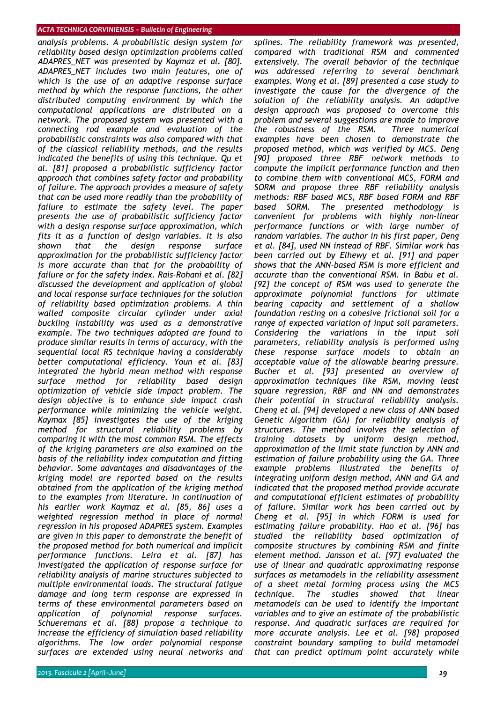*analysis problems. A probabilistic design system for reliability based design optimization problems called ADAPRES\_NET was presented by Kaymaz et al. [80]. ADAPRES\_NET includes two main features, one of which is the use of an adaptive response surface method by which the response functions, the other distributed computing environment by which the computational applications are distributed on a network. The proposed system was presented with a connecting rod example and evaluation of the probabilistic constraints was also compared with that of the classical reliability methods, and the results indicated the benefits of using this technique. Qu et al. [81] proposed a probabilistic sufficiency factor approach that combines safety factor and probability of failure. The approach provides a measure of safety that can be used more readily than the probability of failure to estimate the safety level. The paper presents the use of probabilistic sufficiency factor with a design response surface approximation, which fits it as a function of design variables. It is also shown that the design response surface approximation for the probabilistic sufficiency factor is more accurate than that for the probability of failure or for the safety index. Rais-Rohani et al. [82] discussed the development and application of global and local response surface techniques for the solution of reliability based optimization problems. A thin walled composite circular cylinder under axial buckling instability was used as a demonstrative example. The two techniques adopted are found to produce similar results in terms of accuracy, with the sequential local RS technique having a considerably better computational efficiency. Youn et al. [83] integrated the hybrid mean method with response surface method for reliability based design optimization of vehicle side impact problem. The design objective is to enhance side impact crash performance while minimizing the vehicle weight. Kaymax [85] investigates the use of the kriging method for structural reliability problems by comparing it with the most common RSM. The effects of the kriging parameters are also examined on the basis of the reliability index computation and fitting behavior. Some advantages and disadvantages of the kriging model are reported based on the results obtained from the application of the kriging method to the examples from literature. In continuation of his earlier work Kaymaz et al. [85, 86] uses a weighted regression method in place of normal regression in his proposed ADAPRES system. Examples are given in this paper to demonstrate the benefit of the proposed method for both numerical and implicit performance functions. Leira et al. [87] has investigated the application of response surface for reliability analysis of marine structures subjected to multiple environmental loads. The structural fatigue damage and long term response are expressed in terms of these environmental parameters based on application of polynomial response surfaces. Schueremans et al. [88] propose a technique to increase the efficiency of simulation based reliability algorithms. The low order polynomial response surfaces are extended using neural networks and* 

*2013. Fascicule 2 [April–June] 29*

*splines. The reliability framework was presented, compared with traditional RSM and commented extensively. The overall behavior of the technique was addressed referring to several benchmark examples. Wong et al. [89] presented a case study to investigate the cause for the divergence of the solution of the reliability analysis. An adaptive design approach was proposed to overcome this problem and several suggestions are made to improve the robustness of the RSM. Three numerical examples have been chosen to demonstrate the proposed method, which was verified by MCS. Deng [90] proposed three RBF network methods to compute the implicit performance function and then to combine them with conventional MCS, FORM and SORM and propose three RBF reliability analysis methods: RBF based MCS, RBF based FORM and RBF based SORM. The presented methodology is convenient for problems with highly non-linear performance functions or with large number of random variables. The author in his first paper, Deng et al. [84], used NN instead of RBF. Similar work has been carried out by Elhewy et al. [91] and paper shows that the ANN-based RSM is more efficient and accurate than the conventional RSM. In Babu et al. [92] the concept of RSM was used to generate the approximate polynomial functions for ultimate bearing capacity and settlement of a shallow foundation resting on a cohesive frictional soil for a range of expected variation of input soil parameters. Considering the variations in the input soil parameters, reliability analysis is performed using these response surface models to obtain an acceptable value of the allowable bearing pressure. Bucher et al. [93] presented an overview of approximation techniques like RSM, moving least square regression, RBF and NN and demonstrates their potential in structural reliability analysis. Cheng et al. [94] developed a new class of ANN based Genetic Algorithm (GA) for reliability analysis of structures. The method involves the selection of training datasets by uniform design method, approximation of the limit state function by ANN and estimation of failure probability using the GA. Three example problems illustrated the benefits of integrating uniform design method, ANN and GA and indicated that the proposed method provide accurate and computational efficient estimates of probability of failure. Similar work has been carried out by Cheng et al. [95] in which FORM is used for estimating failure probability. Hao et al. [96] has studied the reliability based optimization of composite structures by combining RSM and finite element method. Jansson et al. [97] evaluated the use of linear and quadratic approximating response surfaces as metamodels in the reliability assessment of a sheet metal forming process using the MCS technique. The studies showed that linear metamodels can be used to identify the important variables and to give an estimate of the probabilistic response. And quadratic surfaces are required for more accurate analysis. Lee et al. [98] proposed constraint boundary sampling to build metamodel that can predict optimum point accurately while*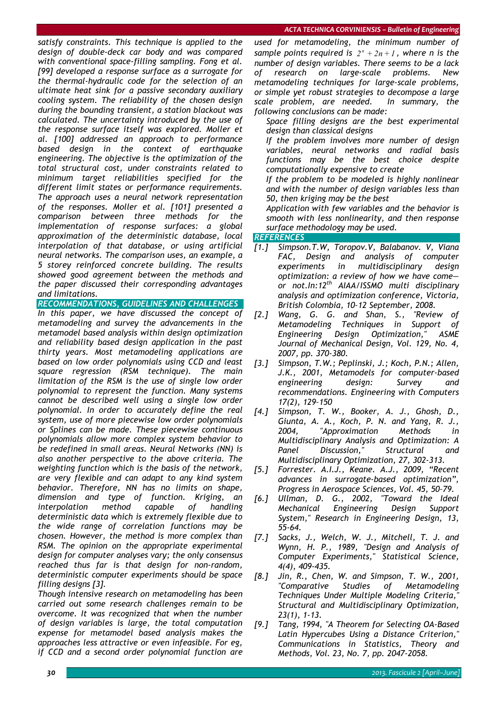*satisfy constraints. This technique is applied to the design of double-deck car body and was compared with conventional space-filling sampling. Fong et al. [99] developed a response surface as a surrogate for the thermal-hydraulic code for the selection of an ultimate heat sink for a passive secondary auxiliary cooling system. The reliability of the chosen design during the bounding transient, a station blackout was calculated. The uncertainty introduced by the use of the response surface itself was explored. Moller et al. [100] addressed an approach to performance based design in the context of earthquake engineering. The objective is the optimization of the total structural cost, under constraints related to minimum target reliabilities specified for the different limit states or performance requirements. The approach uses a neural network representation of the responses. Moller et al. [101] presented a comparison between three methods for the implementation of response surfaces: a global approximation of the deterministic database, local interpolation of that database, or using artificial neural networks. The comparison uses, an example, a 5 storey reinforced concrete building. The results showed good agreement between the methods and the paper discussed their corresponding advantages and limitations.* 

*RECOMMENDATIONS, GUIDELINES AND CHALLENGES* 

*In this paper, we have discussed the concept of metamodeling and survey the advancements in the metamodel based analysis within design optimization and reliability based design application in the past thirty years. Most metamodeling applications are based on low order polynomials using CCD and least square regression (RSM technique). The main limitation of the RSM is the use of single low order polynomial to represent the function. Many systems cannot be described well using a single low order polynomial. In order to accurately define the real system, use of more piecewise low order polynomials or Splines can be made. These piecewise continuous polynomials allow more complex system behavior to be redefined in small areas. Neural Networks (NN) is also another perspective to the above criteria. The weighting function which is the basis of the network, are very flexible and can adapt to any kind system behavior. Therefore, NN has no limits on shape, dimension and type of function. Kriging, an interpolation method capable of handling deterministic data which is extremely flexible due to the wide range of correlation functions may be chosen. However, the method is more complex than RSM. The opinion on the appropriate experimental design for computer analyses vary; the only consensus reached thus far is that design for non-random, deterministic computer experiments should be space filling designs [3].* 

*Though intensive research on metamodeling has been carried out some research challenges remain to be overcome. It was recognized that when the number of design variables is large, the total computation expense for metamodel based analysis makes the approaches less attractive or even infeasible. For eg, if CCD and a second order polynomial function are* 

*used for metamodeling, the minimum number of sample points required is*  $2^n + 2n + 1$ , where *n* is the *number of design variables. There seems to be a lack of research on large-scale problems. New metamodeling techniques for large-scale problems, or simple yet robust strategies to decompose a large scale problem, are needed. In summary, the following conclusions can be made:* 

 *Space filling designs are the best experimental design than classical designs* 

 *If the problem involves more number of design variables, neural networks and radial basis functions may be the best choice despite computationally expensive to create* 

 *If the problem to be modeled is highly nonlinear and with the number of design variables less than 50, then kriging may be the best* 

 *Application with few variables and the behavior is smooth with less nonlinearity, and then response surface methodology may be used.* 

## *REFERENCES*

- *[1.] Simpson.T.W, Toropov.V, Balabanov. V, Viana FAC, Design and analysis of computer experiments in multidisciplinary design optimization: a review of how we have come or not.In:12th AIAA/ISSMO multi disciplinary analysis and optimization conference, Victoria, British Colombia, 10–12 September, 2008.*
- *[2.] Wang, G. G. and Shan, S., "Review of Metamodeling Techniques in Support of Engineering Design Optimization," ASME Journal of Mechanical Design, Vol. 129, No. 4, 2007, pp. 370-380.*
- *[3.] Simpson, T.W.; Peplinski, J.; Koch, P.N.; Allen, J.K., 2001, Metamodels for computer-based engineering design: Survey and recommendations. Engineering with Computers 17(2), 129–150*
- *[4.] Simpson, T. W., Booker, A. J., Ghosh, D., Giunta, A. A., Koch, P. N. and Yang, R. J., 2004, "Approximation Methods in Multidisciplinary Analysis and Optimization: A Panel Discussion," Structural and Multidisciplinary Optimization, 27, 302-313.*
- *[5.] Forrester. A.I.J., Keane. A.J., 2009, "Recent advances in surrogate-based optimization", Progress in Aerospace Sciences, Vol. 45, 50–79.*
- *[6.] Ullman, D. G., 2002, "Toward the Ideal Mechanical Engineering Design Support System," Research in Engineering Design, 13, 55-64.*
- *[7.] Sacks, J., Welch, W. J., Mitchell, T. J. and Wynn, H. P., 1989, "Design and Analysis of Computer Experiments," Statistical Science, 4(4), 409-435.*
- *[8.] Jin, R., Chen, W. and Simpson, T. W., 2001, "Comparative Studies of Metamodeling Techniques Under Multiple Modeling Criteria," Structural and Multidisciplinary Optimization, 23(1), 1-13.*
- *[9.] Tang, 1994, "A Theorem for Selecting OA-Based Latin Hypercubes Using a Distance Criterion," Communications in Statistics, Theory and Methods, Vol. 23, No. 7, pp. 2047-2058.*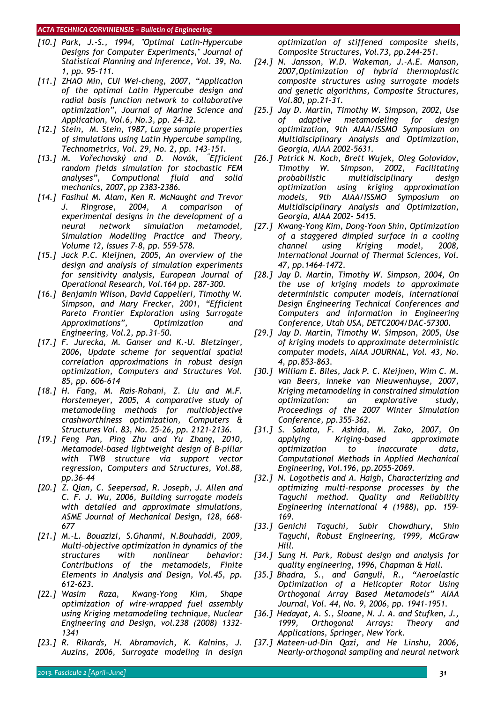- *[10.] Park, J.-S., 1994, "Optimal Latin-Hypercube Designs for Computer Experiments," Journal of Statistical Planning and Inference, Vol. 39, No. 1, pp. 95-111.*
- *[11.] ZHAO Min, CUI Wei-cheng, 2007, "Application of the optimal Latin Hypercube design and radial basis function network to collaborative optimization", Journal of Marine Science and Application, Vol.6, No.3, pp. 24-32.*
- *[12.] Stein, M. Stein, 1987, Large sample properties of simulations using Latin Hypercube sampling, Technometrics, Vol. 29, No. 2, pp. 143–151.*
- *[13.] M. Vořechovský and D. Novák, " Efficient random fields simulation for stochastic FEM analyses", Computional fluid and solid mechanics, 2007, pp 2383-2386.*
- *[14.] Fasihul M. Alam, Ken R. McNaught and Trevor J. Ringrose, 2004, A comparison of experimental designs in the development of a neural network simulation metamodel, Simulation Modelling Practice and Theory, Volume 12, Issues 7-8, pp. 559-578.*
- *[15.] Jack P.C. Kleijnen, 2005, An overview of the design and analysis of simulation experiments for sensitivity analysis, European Journal of Operational Research, Vol.164 pp. 287–300.*
- *[16.] Benjamin Wilson, David Cappelleri, Timothy W. Simpson, and Mary Frecker, 2001, "Efficient Pareto Frontier Exploration using Surrogate Approximations", Optimization and Engineering, Vol.2, pp.31–50.*
- *[17.] F. Jurecka, M. Ganser and K.-U. Bletzinger, 2006, Update scheme for sequential spatial correlation approximations in robust design optimization, Computers and Structures Vol. 85, pp. 606–614*
- *[18.] H. Fang, M. Rais-Rohani, Z. Liu and M.F. Horstemeyer, 2005, A comparative study of metamodeling methods for multiobjective crashworthiness optimization, Computers & Structures Vol. 83, No. 25-26, pp. 2121-2136.*
- *[19.] Feng Pan, Ping Zhu and Yu Zhang, 2010, Metamodel-based lightweight design of B-pillar with TWB structure via support vector regression, Computers and Structures, Vol.88, pp.36–44*
- *[20.] Z. Qian, C. Seepersad, R. Joseph, J. Allen and C. F. J. Wu, 2006, Building surrogate models with detailed and approximate simulations, ASME Journal of Mechanical Design, 128, 668- 677*
- *[21.] M.-L. Bouazizi, S.Ghanmi, N.Bouhaddi, 2009, Multi-objective optimization in dynamics of the structures with nonlinear behavior: Contributions of the metamodels, Finite Elements in Analysis and Design, Vol.45, pp. 612-623.*
- *[22.] Wasim Raza, Kwang-Yong Kim, Shape optimization of wire-wrapped fuel assembly using Kriging metamodeling technique, Nuclear Engineering and Design, vol.238 (2008) 1332– 1341*
- *[23.] R. Rikards, H. Abramovich, K. Kalnins, J. Auzins, 2006, Surrogate modeling in design*

*optimization of stiffened composite shells, Composite Structures, Vol.73, pp.244-251.* 

- *[24.] N. Jansson, W.D. Wakeman, J.-A.E. Manson, 2007,Optimization of hybrid thermoplastic composite structures using surrogate models and genetic algorithms, Composite Structures, Vol.80, pp.21–31.*
- *[25.] Jay D. Martin, Timothy W. Simpson, 2002, Use of adaptive metamodeling for design optimization, 9th AIAA/ISSMO Symposium on Multidisciplinary Analysis and Optimization, Georgia, AIAA 2002-5631.*
- *[26.] Patrick N. Koch, Brett Wujek, Oleg Golovidov, Timothy W. Simpson, 2002, Facilitating probabilistic multidisciplinary design optimization using kriging approximation models, 9th AIAA/ISSMO Symposium on Multidisciplinary Analysis and Optimization, Georgia, AIAA 2002- 5415.*
- *[27.] Kwang-Yong Kim, Dong-Yoon Shin, Optimization of a staggered dimpled surface in a cooling channel using Kriging model, 2008, International Journal of Thermal Sciences, Vol. 47, pp.1464–1472.*
- *[28.] Jay D. Martin, Timothy W. Simpson, 2004, On the use of kriging models to approximate deterministic computer models, International Design Engineering Technical Conferences and Computers and Information in Engineering Conference, Utah USA, DETC2004/DAC-57300.*
- *[29.] Jay D. Martin, Timothy W. Simpson, 2005, Use of kriging models to approximate deterministic computer models, AIAA JOURNAL, Vol. 43, No. 4, pp.853-863.*
- *[30.] William E. Biles, Jack P. C. Kleijnen, Wim C. M. van Beers, Inneke van Nieuwenhuyse, 2007, Kriging metamodeling in constrained simulation optimization: an explorative study, Proceedings of the 2007 Winter Simulation Conference, pp.355-362.*
- *[31.] S. Sakata, F. Ashida, M. Zako, 2007, On applying Kriging-based approximate optimization to inaccurate data, Computational Methods in Applied Mechanical Engineering, Vol.196, pp.2055–2069.*
- *[32.] N. Logothetis and A. Haigh, Characterizing and optimizing multi-response processes by the Taguchi method. Quality and Reliability Engineering International 4 (1988), pp. 159– 169.*
- *[33.] Genichi Taguchi, Subir Chowdhury, Shin Taguchi, Robust Engineering, 1999, McGraw Hill.*
- *[34.] Sung H. Park, Robust design and analysis for quality engineering, 1996, Chapman & Hall.*
- *[35.] Bhadra, S., and Ganguli, R., "Aeroelastic Optimization of a Helicopter Rotor Using Orthogonal Array Based Metamodels" AIAA Journal, Vol. 44, No. 9, 2006, pp. 1941-1951.*
- *[36.] Hedayat, A. S., Sloane, N. J. A. and Stufken, J., 1999, Orthogonal Arrays: Theory and Applications, Springer, New York.*
- *[37.] Mateen-ud-Din Qazi, and He Linshu, 2006, Nearly-orthogonal sampling and neural network*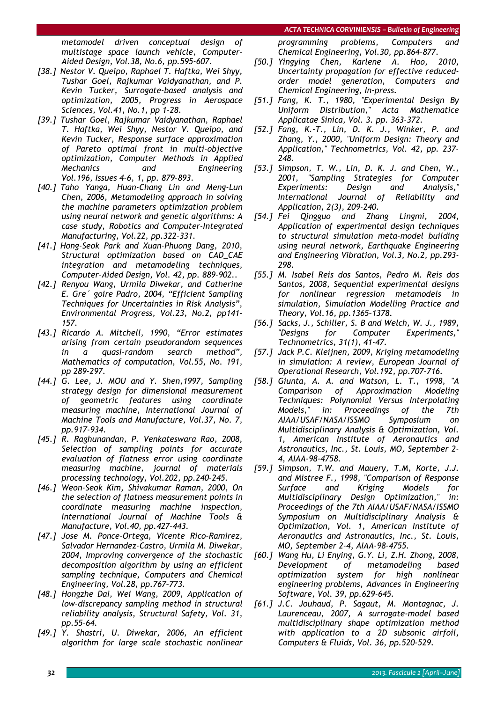*metamodel driven conceptual design of multistage space launch vehicle, Computer-Aided Design, Vol.38, No.6, pp.595-607.* 

- *[38.] Nestor V. Queipo, Raphael T. Haftka, Wei Shyy, Tushar Goel, Rajkumar Vaidyanathan, and P. Kevin Tucker, Surrogate-based analysis and optimization, 2005, Progress in Aerospace Sciences, Vol.41, No.1, pp 1-28.*
- *[39.] Tushar Goel, Rajkumar Vaidyanathan, Raphael T. Haftka, Wei Shyy, Nestor V. Queipo, and Kevin Tucker, Response surface approximation of Pareto optimal front in multi-objective optimization, Computer Methods in Applied Mechanics and Engineering Vol.196, Issues 4-6, 1, pp. 879-893.*
- *[40.] Taho Yanga, Huan-Chang Lin and Meng-Lun Chen, 2006, Metamodeling approach in solving the machine parameters optimization problem using neural network and genetic algorithms: A case study, Robotics and Computer-Integrated Manufacturing, Vol.22, pp.322–331.*
- *[41.] Hong-Seok Park and Xuan-Phuong Dang, 2010, Structural optimization based on CAD\_CAE integration and metamodeling techniques, Computer-Aided Design, Vol. 42, pp. 889-902..*
- *[42.] Renyou Wang, Urmila Diwekar, and Catherine E. Gre´ goire Padro, 2004, "Efficient Sampling Techniques for Uncertainties in Risk Analysis", Environmental Progress, Vol.23, No.2, pp141- 157.*
- *[43.] Ricardo A. Mitchell, 1990, "Error estimates arising from certain pseudorandom sequences in a quasi-random search method", Mathematics of computation, Vol.55, No. 191, pp 289-297.*
- *[44.] G. Lee, J. MOU and Y. Shen,1997, Sampling strategy design for dimensional measurement of geometric features using coordinate measuring machine, International Journal of Machine Tools and Manufacture, Vol.37, No. 7, pp.917-934.*
- *[45.] R. Raghunandan, P. Venkateswara Rao, 2008, Selection of sampling points for accurate evaluation of flatness error using coordinate measuring machine, journal of materials processing technology, Vol.202, pp.240-245.*
- *[46.] Weon-Seok Kim, Shivakumar Raman, 2000, On the selection of flatness measurement points in coordinate measuring machine inspection, International Journal of Machine Tools & Manufacture, Vol.40, pp.427–443.*
- *[47.] Jose M. Ponce-Ortega, Vicente Rico-Ramirez, Salvador Hernandez-Castro, Urmila M. Diwekar, 2004, Improving convergence of the stochastic decomposition algorithm by using an efficient sampling technique, Computers and Chemical Engineering, Vol.28, pp.767–773.*
- *[48.] Hongzhe Dai, Wei Wang, 2009, Application of low-discrepancy sampling method in structural reliability analysis, Structural Safety, Vol. 31, pp.55–64.*
- *[49.] Y. Shastri, U. Diwekar, 2006, An efficient algorithm for large scale stochastic nonlinear*

*programming problems, Computers and Chemical Engineering, Vol.30, pp.864–877.* 

- *[50.] Yingying Chen, Karlene A. Hoo, 2010, Uncertainty propagation for effective reducedorder model generation, Computers and Chemical Engineering, In-press.*
- *[51.] Fang, K. T., 1980, "Experimental Design By Uniform Distribution," Acta Mathematice Applicatae Sinica, Vol. 3. pp. 363-372.*
- *[52.] Fang, K.-T., Lin, D. K. J., Winker, P. and Zhang, Y., 2000, "Uniform Design: Theory and Application," Technometrics, Vol. 42, pp. 237- 248.*
- *[53.] Simpson, T. W., Lin, D. K. J. and Chen, W., 2001, "Sampling Strategies for Computer Experiments: Design and Analysis," International Journal of Reliability and Application, 2(3), 209-240.*
- *[54.] Fei Qingguo and Zhang Lingmi, 2004, Application of experimental design techniques to structural simulation meta-model building using neural network, Earthquake Engineering and Engineering Vibration, Vol.3, No.2, pp.293- 298.*
- *[55.] M. Isabel Reis dos Santos, Pedro M. Reis dos Santos, 2008, Sequential experimental designs for nonlinear regression metamodels in simulation, Simulation Modelling Practice and Theory, Vol.16, pp.1365–1378.*
- *[56.] Sacks, J., Schiller, S. B and Welch, W. J., 1989, "Designs for Computer Experiments," Technometrics, 31(1), 41-47.*
- *[57.] Jack P.C. Kleijnen, 2009, Kriging metamodeling in simulation: A review, European Journal of Operational Research, Vol.192, pp.707–716.*
- *[58.] Giunta, A. A. and Watson, L. T., 1998, "A Comparison of Approximation Modeling Techniques: Polynomial Versus Interpolating Models," in: Proceedings of the 7th AIAA/USAF/NASA/ISSMO Symposium on Multidisciplinary Analysis & Optimization, Vol. 1, American Institute of Aeronautics and Astronautics, Inc., St. Louis, MO, September 2- 4, AIAA-98-4758.*
- *[59.] Simpson, T.W. and Mauery, T.M, Korte, J.J. and Mistree F., 1998, "Comparison of Response Surface and Kriging Models for Multidisciplinary Design Optimization," in: Proceedings of the 7th AIAA/USAF/NASA/ISSMO Symposium on Multidisciplinary Analysis & Optimization, Vol. 1, American Institute of Aeronautics and Astronautics, Inc., St. Louis, MO, September 2-4, AIAA-98-4755.*
- *[60.] Wang Hu, Li Enying, G.Y. Li, Z.H. Zhong, 2008, Development of metamodeling based optimization system for high nonlinear engineering problems, Advances in Engineering Software, Vol. 39, pp.629-645.*
- *[61.] J.C. Jouhaud, P. Sagaut, M. Montagnac, J. Laurenceau, 2007, A surrogate-model based multidisciplinary shape optimization method with application to a 2D subsonic airfoil, Computers & Fluids, Vol. 36, pp.520-529.*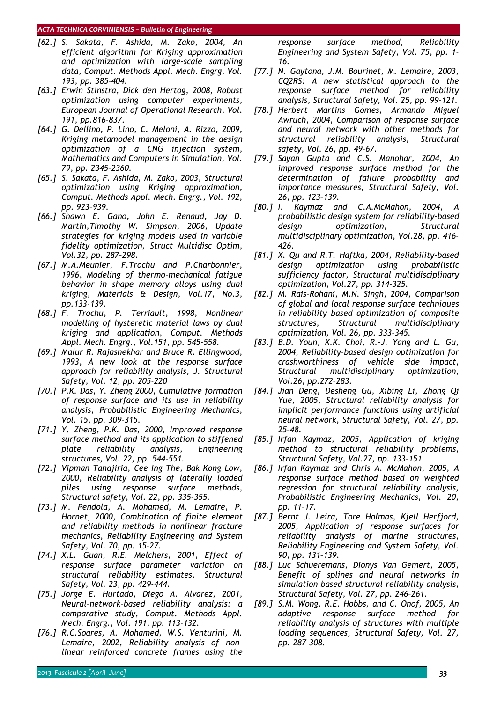- *[62.] S. Sakata, F. Ashida, M. Zako, 2004, An efficient algorithm for Kriging approximation and optimization with large-scale sampling data, Comput. Methods Appl. Mech. Engrg, Vol. 193, pp. 385-404.*
- *[63.] Erwin Stinstra, Dick den Hertog, 2008, Robust optimization using computer experiments, European Journal of Operational Research, Vol. 191, pp.816-837.*
- *[64.] G. Dellino, P. Lino, C. Meloni, A. Rizzo, 2009, Kriging metamodel management in the design optimization of a CNG injection system, Mathematics and Computers in Simulation, Vol. 79, pp. 2345–2360.*
- *[65.] S. Sakata, F. Ashida, M. Zako, 2003, Structural optimization using Kriging approximation, Comput. Methods Appl. Mech. Engrg., Vol. 192, pp. 923–939.*
- *[66.] Shawn E. Gano, John E. Renaud, Jay D. Martin,Timothy W. Simpson, 2006, Update strategies for kriging models used in variable fidelity optimization, Struct Multidisc Optim, Vol.32, pp. 287–298.*
- *[67.] M.A.Meunier, F.Trochu and P.Charbonnier, 1996, Modeling of thermo-mechanical fatigue behavior in shape memory alloys using dual kriging, Materials & Design, Vol.17, No.3, pp.133-139.*
- *[68.] F. Trochu, P. Terriault, 1998, Nonlinear modelling of hysteretic material laws by dual kriging and application, Comput. Methods Appl. Mech. Engrg., Vol.151, pp. 545-558.*
- *[69.] Malur R. Rajashekhar and Bruce R. Ellingwood, 1993, A new look at the response surface approach for reliability analysis, J. Structural Safety, Vol. 12, pp. 205-220*
- *[70.] P.K. Das, Y. Zheng 2000, Cumulative formation of response surface and its use in reliability analysis, Probabilistic Engineering Mechanics, Vol. 15, pp. 309-315.*
- *[71.] Y. Zheng, P.K. Das, 2000, Improved response surface method and its application to stiffened plate reliability analysis, Engineering structures, Vol. 22, pp. 544-551.*
- *[72.] Vipman Tandjiria, Cee Ing The, Bak Kong Low, 2000, Reliability analysis of laterally loaded piles using response surface methods, Structural safety, Vol. 22, pp. 335-355.*
- *[73.] M. Pendola, A. Mohamed, M. Lemaire, P. Hornet, 2000, Combination of finite element and reliability methods in nonlinear fracture mechanics, Reliability Engineering and System Safety, Vol. 70, pp. 15–27.*
- *[74.] X.L. Guan, R.E. Melchers, 2001, Effect of response surface parameter variation on structural reliability estimates, Structural Safety, Vol. 23, pp. 429-444.*
- *[75.] Jorge E. Hurtado, Diego A. Alvarez, 2001, Neural-network-based reliability analysis: a comparative study, Comput. Methods Appl. Mech. Engrg., Vol. 191, pp. 113-132.*
- *[76.] R.C.Soares, A. Mohamed, W.S. Venturini, M. Lemaire, 2002, Reliability analysis of nonlinear reinforced concrete frames using the*

*response surface method, Reliability Engineering and System Safety, Vol. 75, pp. 1- 16.* 

- *[77.] N. Gaytona, J.M. Bourinet, M. Lemaire, 2003, CQ2RS: A new statistical approach to the response surface method for reliability analysis, Structural Safety, Vol. 25, pp. 99–121.*
- *[78.] Herbert Martins Gomes, Armando Miguel Awruch, 2004, Comparison of response surface and neural network with other methods for structural reliability analysis, Structural safety, Vol. 26, pp. 49-67.*
- *[79.] Sayan Gupta and C.S. Manohar, 2004, An improved response surface method for the determination of failure probability and importance measures, Structural Safety, Vol. 26, pp. 123–139.*
- *[80.] I. Kaymaz and C.A.McMahon, 2004, A probabilistic design system for reliability-based design optimization, Structural multidisciplinary optimization, Vol.28, pp. 416- 426.*
- *[81.] X. Qu and R.T. Haftka, 2004, Reliability-based design optimization using probabilistic sufficiency factor, Structural multidisciplinary optimization, Vol.27, pp. 314-325.*
- *[82.] M. Rais-Rohani, M.N. Singh, 2004, Comparison of global and local response surface techniques in reliability based optimization of composite structures, Structural multidisciplinary optimization, Vol. 26, pp. 333-345.*
- *[83.] B.D. Youn, K.K. Choi, R.-J. Yang and L. Gu, 2004, Reliability-based design optimization for crashworthiness of vehicle side impact, Structural multidisciplinary optimization, Vol.26, pp.272–283.*
- *[84.] Jian Deng, Desheng Gu, Xibing Li, Zhong Qi Yue, 2005, Structural reliability analysis for implicit performance functions using artificial neural network, Structural Safety, Vol. 27, pp. 25–48.*
- *[85.] Irfan Kaymaz, 2005, Application of kriging method to structural reliability problems, Structural Safety, Vol.27, pp. 133-151.*
- *[86.] Irfan Kaymaz and Chris A. McMahon, 2005, A response surface method based on weighted regression for structural reliability analysis, Probabilistic Engineering Mechanics, Vol. 20, pp. 11–17.*
- *[87.] Bernt J. Leira, Tore Holmas, Kjell Herfjord, 2005, Application of response surfaces for reliability analysis of marine structures, Reliability Engineering and System Safety, Vol. 90, pp. 131–139.*
- *[88.] Luc Schueremans, Dionys Van Gemert, 2005, Benefit of splines and neural networks in simulation based structural reliability analysis, Structural Safety, Vol. 27, pp. 246–261.*
- *[89.] S.M. Wong, R.E. Hobbs, and C. Onof, 2005, An adaptive response surface method for reliability analysis of structures with multiple loading sequences, Structural Safety, Vol. 27, pp. 287–308.*